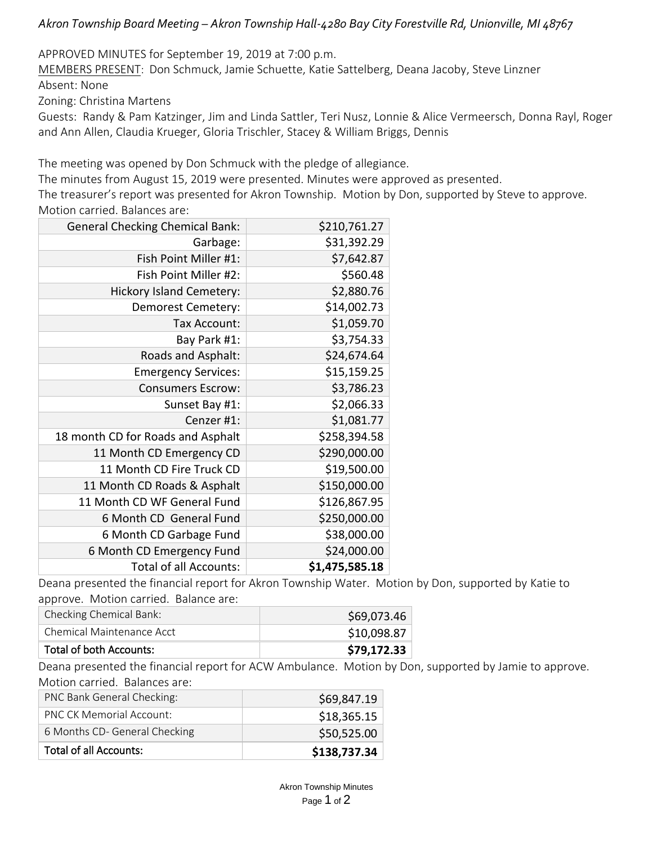*Akron Township Board Meeting – Akron Township Hall-4280 Bay City Forestville Rd, Unionville, MI 48767*

APPROVED MINUTES for September 19, 2019 at 7:00 p.m.

MEMBERS PRESENT: Don Schmuck, Jamie Schuette, Katie Sattelberg, Deana Jacoby, Steve Linzner Absent: None

Zoning: Christina Martens

Guests: Randy & Pam Katzinger, Jim and Linda Sattler, Teri Nusz, Lonnie & Alice Vermeersch, Donna Rayl, Roger and Ann Allen, Claudia Krueger, Gloria Trischler, Stacey & William Briggs, Dennis

The meeting was opened by Don Schmuck with the pledge of allegiance.

The minutes from August 15, 2019 were presented. Minutes were approved as presented.

The treasurer's report was presented for Akron Township. Motion by Don, supported by Steve to approve. Motion carried. Balances are:

| <b>General Checking Chemical Bank:</b> | \$210,761.27   |  |  |
|----------------------------------------|----------------|--|--|
| Garbage:                               | \$31,392.29    |  |  |
| Fish Point Miller #1:                  | \$7,642.87     |  |  |
| Fish Point Miller #2:                  | \$560.48       |  |  |
| <b>Hickory Island Cemetery:</b>        | \$2,880.76     |  |  |
| Demorest Cemetery:                     | \$14,002.73    |  |  |
| Tax Account:                           | \$1,059.70     |  |  |
| Bay Park #1:                           | \$3,754.33     |  |  |
| Roads and Asphalt:                     | \$24,674.64    |  |  |
| <b>Emergency Services:</b>             | \$15,159.25    |  |  |
| <b>Consumers Escrow:</b>               | \$3,786.23     |  |  |
| Sunset Bay #1:                         | \$2,066.33     |  |  |
| Cenzer #1:                             | \$1,081.77     |  |  |
| 18 month CD for Roads and Asphalt      | \$258,394.58   |  |  |
| 11 Month CD Emergency CD               | \$290,000.00   |  |  |
| 11 Month CD Fire Truck CD              | \$19,500.00    |  |  |
| 11 Month CD Roads & Asphalt            | \$150,000.00   |  |  |
| 11 Month CD WF General Fund            | \$126,867.95   |  |  |
| 6 Month CD General Fund                | \$250,000.00   |  |  |
| 6 Month CD Garbage Fund                | \$38,000.00    |  |  |
| 6 Month CD Emergency Fund              | \$24,000.00    |  |  |
| <b>Total of all Accounts:</b>          | \$1,475,585.18 |  |  |

Deana presented the financial report for Akron Township Water. Motion by Don, supported by Katie to approve. Motion carried. Balance are:

| Checking Chemical Bank:   | \$69,073.46 |
|---------------------------|-------------|
| Chemical Maintenance Acct | \$10,098.87 |
| Total of both Accounts:   | \$79,172.33 |

Deana presented the financial report for ACW Ambulance. Motion by Don, supported by Jamie to approve. Motion carried. Balances are:

| Total of all Accounts:          | \$138,737.34 |
|---------------------------------|--------------|
| 6 Months CD- General Checking   | \$50,525.00  |
| <b>PNC CK Memorial Account:</b> | \$18,365.15  |
| PNC Bank General Checking:      | \$69,847.19  |